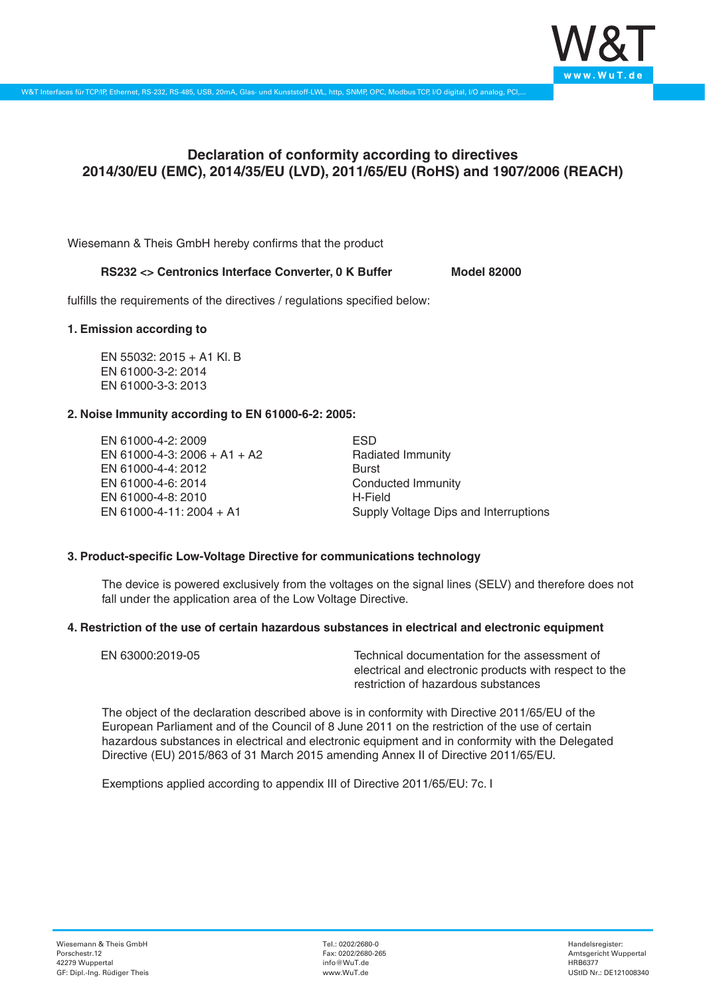

# **Declaration of conformity according to directives 2014/30/EU (EMC), 2014/35/EU (LVD), 2011/65/EU (RoHS) and 1907/2006 (REACH)**

Wiesemann & Theis GmbH hereby confirms that the product

## RS232 <> Centronics Interface Converter, 0 K Buffer Model 82000

fulfills the requirements of the directives / regulations specified below:

#### **1. Emission according to**

EN 55032: 2015 + A1 Kl. B EN 61000-3-2: 2014 EN 61000-3-3: 2013

### **2. Noise Immunity according to EN 61000-6-2: 2005:**

EN 61000-4-2: 2009 EN 61000-4-3: 2006 + A1 + A2 EN 61000-4-4: 2012 EN 61000-4-6: 2014 EN 61000-4-8: 2010 EN 61000-4-11: 2004 + A1

ESD Radiated Immunity Burst Conducted Immunity H-Field Supply Voltage Dips and Interruptions

## **3. Product-specific Low-Voltage Directive for communications technology**

The device is powered exclusively from the voltages on the signal lines (SELV) and therefore does not fall under the application area of the Low Voltage Directive.

#### **4. Restriction of the use of certain hazardous substances in electrical and electronic equipment**

| EN 63000:2019-05 | Technical documentation for the assessment of          |
|------------------|--------------------------------------------------------|
|                  | electrical and electronic products with respect to the |
|                  | restriction of hazardous substances                    |

The object of the declaration described above is in conformity with Directive 2011/65/EU of the European Parliament and of the Council of 8 June 2011 on the restriction of the use of certain hazardous substances in electrical and electronic equipment and in conformity with the Delegated Directive (EU) 2015/863 of 31 March 2015 amending Annex II of Directive 2011/65/EU.

Exemptions applied according to appendix III of Directive 2011/65/EU: 7c. I